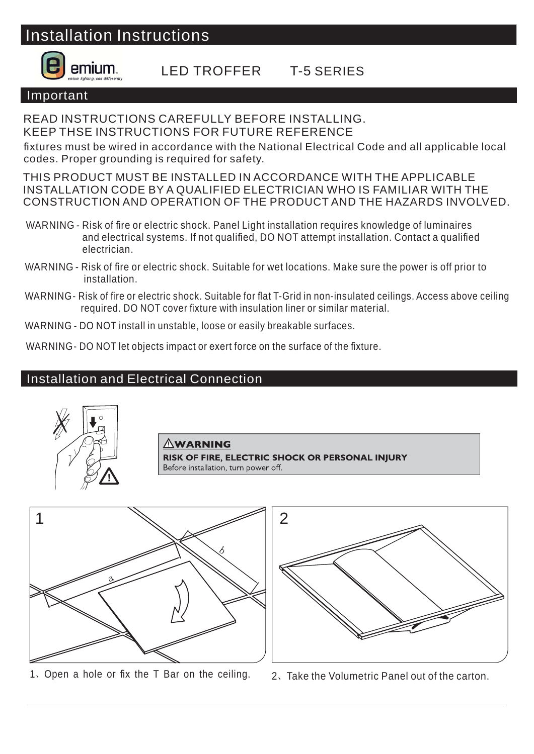## Installation Instructions



### LED TROFFER T-5 SERIES

#### Important

READ INSTRUCTIONS CAREFULLY BEFORE INSTALLING. KEEP THSE INSTRUCTIONS FOR FUTURE REFERENCE

fixtures must be wired in accordance with the National Electrical Code and all applicable local codes. Proper grounding is required for safety.

THIS PRODUCT MUST BE INSTALLED IN ACCORDANCE WITH THE APPLICABLE INSTALLATION CODE BY A QUALIFIED ELECTRICIAN WHO IS FAMILIAR WITH THE CONSTRUCTION AND OPERATION OF THE PRODUCT AND THE HAZARDS INVOLVED.

- WARNING Risk of fire or electric shock. Panel Light installation requires knowledge of luminaires and electrical systems. If not qualified, DO NOT attempt installation. Contact a qualified electrician.
- WARNING Risk of fire or electric shock. Suitable for wet locations. Make sure the power is off prior to installation.
- WARNING- Risk of fire or electric shock. Suitable for flat T-Grid in non-insulated ceilings. Access above ceiling required. DO NOT cover fixture with insulation liner or similar material.
- WARNING DO NOT install in unstable, loose or easily breakable surfaces.

WARNING- DO NOT let objects impact or exert force on the surface of the fixture.

### Installation and Electrical Connection



#### **AWARNING**

**RISK OF FIRE, ELECTRIC SHOCK OR PERSONAL INIURY** Before installation, turn power off.



1. Open a hole or fix the T Bar on the ceiling.  $2$ , Take the Volumetric Panel out of the carton.